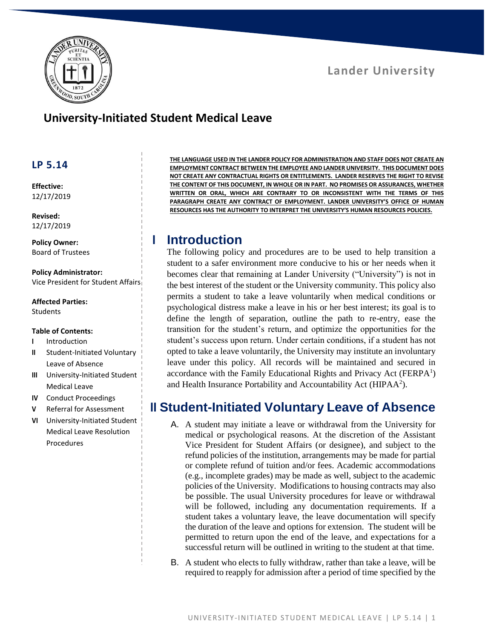

# **University-Initiated Student Medical Leave**

#### **LP 5.14**

**Effective:** 12/17/2019

**Revised:** 12/17/2019

**Policy Owner:** Board of Trustees

**Policy Administrator:** Vice President for Student Affairs

**Affected Parties:** Students

#### **Table of Contents:**

- **I** Introduction
- **II** Student-Initiated Voluntary Leave of Absence
- **III** University-Initiated Student Medical Leave
- **IV** Conduct Proceedings
- **V** Referral for Assessment
- **VI** University-Initiated Student Medical Leave Resolution Procedures

**THE LANGUAGE USED IN THE LANDER POLICY FOR ADMINISTRATION AND STAFF DOES NOT CREATE AN EMPLOYMENT CONTRACT BETWEEN THE EMPLOYEE AND LANDER UNIVERSITY. THIS DOCUMENT DOES NOT CREATE ANY CONTRACTUAL RIGHTS OR ENTITLEMENTS. LANDER RESERVES THE RIGHT TO REVISE THE CONTENT OF THIS DOCUMENT, IN WHOLE OR IN PART. NO PROMISES OR ASSURANCES, WHETHER WRITTEN OR ORAL, WHICH ARE CONTRARY TO OR INCONSISTENT WITH THE TERMS OF THIS PARAGRAPH CREATE ANY CONTRACT OF EMPLOYMENT. LANDER UNIVERSITY'S OFFICE OF HUMAN RESOURCES HAS THE AUTHORITY TO INTERPRET THE UNIVERSITY'S HUMAN RESOURCES POLICIES.**

## **I Introduction**

The following policy and procedures are to be used to help transition a student to a safer environment more conducive to his or her needs when it becomes clear that remaining at Lander University ("University") is not in the best interest of the student or the University community. This policy also permits a student to take a leave voluntarily when medical conditions or psychological distress make a leave in his or her best interest; its goal is to define the length of separation, outline the path to re-entry, ease the transition for the student's return, and optimize the opportunities for the student's success upon return. Under certain conditions, if a student has not opted to take a leave voluntarily, the University may institute an involuntary leave under this policy. All records will be maintained and secured in accordance with the Family Educational Rights and Privacy Act (FERPA<sup>1</sup>) and Health Insurance Portability and Accountability Act (HIPAA<sup>2</sup>).

#### **II Student-Initiated Voluntary Leave of Absence**

- A. A student may initiate a leave or withdrawal from the University for medical or psychological reasons. At the discretion of the Assistant Vice President for Student Affairs (or designee), and subject to the refund policies of the institution, arrangements may be made for partial or complete refund of tuition and/or fees. Academic accommodations (e.g., incomplete grades) may be made as well, subject to the academic policies of the University. Modifications to housing contracts may also be possible. The usual University procedures for leave or withdrawal will be followed, including any documentation requirements. If a student takes a voluntary leave, the leave documentation will specify the duration of the leave and options for extension. The student will be permitted to return upon the end of the leave, and expectations for a successful return will be outlined in writing to the student at that time.
- B. A student who elects to fully withdraw, rather than take a leave, will be required to reapply for admission after a period of time specified by the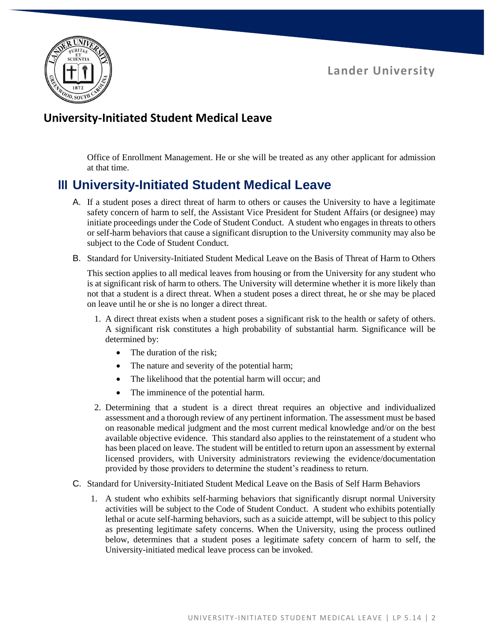

# **University-Initiated Student Medical Leave**

Office of Enrollment Management. He or she will be treated as any other applicant for admission at that time.

# **III University-Initiated Student Medical Leave**

- A. If a student poses a direct threat of harm to others or causes the University to have a legitimate safety concern of harm to self, the Assistant Vice President for Student Affairs (or designee) may initiate proceedings under the Code of Student Conduct. A student who engages in threats to others or self-harm behaviors that cause a significant disruption to the University community may also be subject to the Code of Student Conduct.
- B. Standard for University-Initiated Student Medical Leave on the Basis of Threat of Harm to Others

This section applies to all medical leaves from housing or from the University for any student who is at significant risk of harm to others. The University will determine whether it is more likely than not that a student is a direct threat. When a student poses a direct threat, he or she may be placed on leave until he or she is no longer a direct threat.

- 1. A direct threat exists when a student poses a significant risk to the health or safety of others. A significant risk constitutes a high probability of substantial harm. Significance will be determined by:
	- The duration of the risk;
	- The nature and severity of the potential harm;
	- The likelihood that the potential harm will occur; and
	- The imminence of the potential harm.
- 2. Determining that a student is a direct threat requires an objective and individualized assessment and a thorough review of any pertinent information. The assessment must be based on reasonable medical judgment and the most current medical knowledge and/or on the best available objective evidence. This standard also applies to the reinstatement of a student who has been placed on leave. The student will be entitled to return upon an assessment by external licensed providers, with University administrators reviewing the evidence/documentation provided by those providers to determine the student's readiness to return.
- C. Standard for University-Initiated Student Medical Leave on the Basis of Self Harm Behaviors
	- 1. A student who exhibits self-harming behaviors that significantly disrupt normal University activities will be subject to the Code of Student Conduct. A student who exhibits potentially lethal or acute self-harming behaviors, such as a suicide attempt, will be subject to this policy as presenting legitimate safety concerns. When the University, using the process outlined below, determines that a student poses a legitimate safety concern of harm to self, the University-initiated medical leave process can be invoked.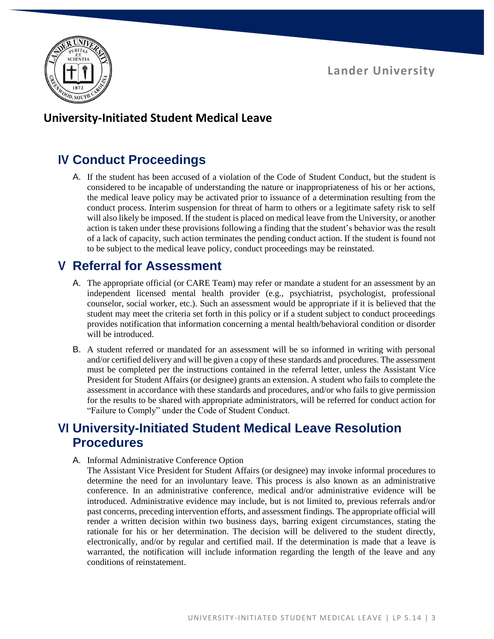

## **University-Initiated Student Medical Leave**

# **IV Conduct Proceedings**

A. If the student has been accused of a violation of the Code of Student Conduct, but the student is considered to be incapable of understanding the nature or inappropriateness of his or her actions, the medical leave policy may be activated prior to issuance of a determination resulting from the conduct process. Interim suspension for threat of harm to others or a legitimate safety risk to self will also likely be imposed. If the student is placed on medical leave from the University, or another action is taken under these provisions following a finding that the student's behavior was the result of a lack of capacity, such action terminates the pending conduct action. If the student is found not to be subject to the medical leave policy, conduct proceedings may be reinstated.

# **V Referral for Assessment**

- A. The appropriate official (or CARE Team) may refer or mandate a student for an assessment by an independent licensed mental health provider (e.g., psychiatrist, psychologist, professional counselor, social worker, etc.). Such an assessment would be appropriate if it is believed that the student may meet the criteria set forth in this policy or if a student subject to conduct proceedings provides notification that information concerning a mental health/behavioral condition or disorder will be introduced.
- B. A student referred or mandated for an assessment will be so informed in writing with personal and/or certified delivery and will be given a copy of these standards and procedures. The assessment must be completed per the instructions contained in the referral letter, unless the Assistant Vice President for Student Affairs (or designee) grants an extension. A student who fails to complete the assessment in accordance with these standards and procedures, and/or who fails to give permission for the results to be shared with appropriate administrators, will be referred for conduct action for "Failure to Comply" under the Code of Student Conduct.

# **VI University-Initiated Student Medical Leave Resolution Procedures**

A. Informal Administrative Conference Option

The Assistant Vice President for Student Affairs (or designee) may invoke informal procedures to determine the need for an involuntary leave. This process is also known as an administrative conference. In an administrative conference, medical and/or administrative evidence will be introduced. Administrative evidence may include, but is not limited to, previous referrals and/or past concerns, preceding intervention efforts, and assessment findings. The appropriate official will render a written decision within two business days, barring exigent circumstances, stating the rationale for his or her determination. The decision will be delivered to the student directly, electronically, and/or by regular and certified mail. If the determination is made that a leave is warranted, the notification will include information regarding the length of the leave and any conditions of reinstatement.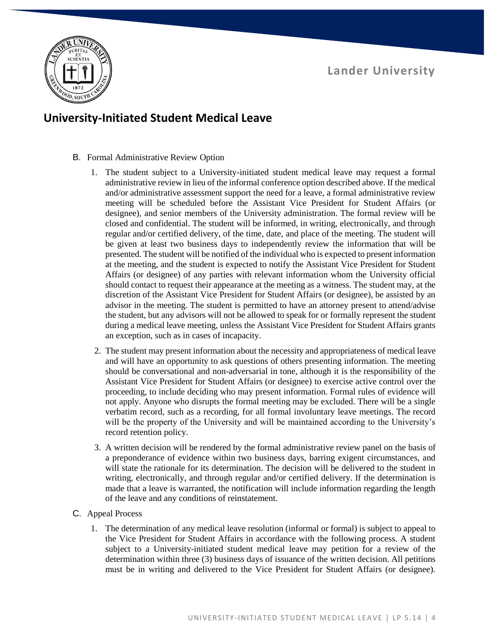

## **University-Initiated Student Medical Leave**

- B. Formal Administrative Review Option
	- 1. The student subject to a University-initiated student medical leave may request a formal administrative review in lieu of the informal conference option described above. If the medical and/or administrative assessment support the need for a leave, a formal administrative review meeting will be scheduled before the Assistant Vice President for Student Affairs (or designee), and senior members of the University administration. The formal review will be closed and confidential. The student will be informed, in writing, electronically, and through regular and/or certified delivery, of the time, date, and place of the meeting. The student will be given at least two business days to independently review the information that will be presented. The student will be notified of the individual who is expected to present information at the meeting, and the student is expected to notify the Assistant Vice President for Student Affairs (or designee) of any parties with relevant information whom the University official should contact to request their appearance at the meeting as a witness. The student may, at the discretion of the Assistant Vice President for Student Affairs (or designee), be assisted by an advisor in the meeting. The student is permitted to have an attorney present to attend/advise the student, but any advisors will not be allowed to speak for or formally represent the student during a medical leave meeting, unless the Assistant Vice President for Student Affairs grants an exception, such as in cases of incapacity.
	- 2. The student may present information about the necessity and appropriateness of medical leave and will have an opportunity to ask questions of others presenting information. The meeting should be conversational and non-adversarial in tone, although it is the responsibility of the Assistant Vice President for Student Affairs (or designee) to exercise active control over the proceeding, to include deciding who may present information. Formal rules of evidence will not apply. Anyone who disrupts the formal meeting may be excluded. There will be a single verbatim record, such as a recording, for all formal involuntary leave meetings. The record will be the property of the University and will be maintained according to the University's record retention policy.
	- 3. A written decision will be rendered by the formal administrative review panel on the basis of a preponderance of evidence within two business days, barring exigent circumstances, and will state the rationale for its determination. The decision will be delivered to the student in writing, electronically, and through regular and/or certified delivery. If the determination is made that a leave is warranted, the notification will include information regarding the length of the leave and any conditions of reinstatement.
- C. Appeal Process
	- 1. The determination of any medical leave resolution (informal or formal) is subject to appeal to the Vice President for Student Affairs in accordance with the following process. A student subject to a University-initiated student medical leave may petition for a review of the determination within three (3) business days of issuance of the written decision. All petitions must be in writing and delivered to the Vice President for Student Affairs (or designee).